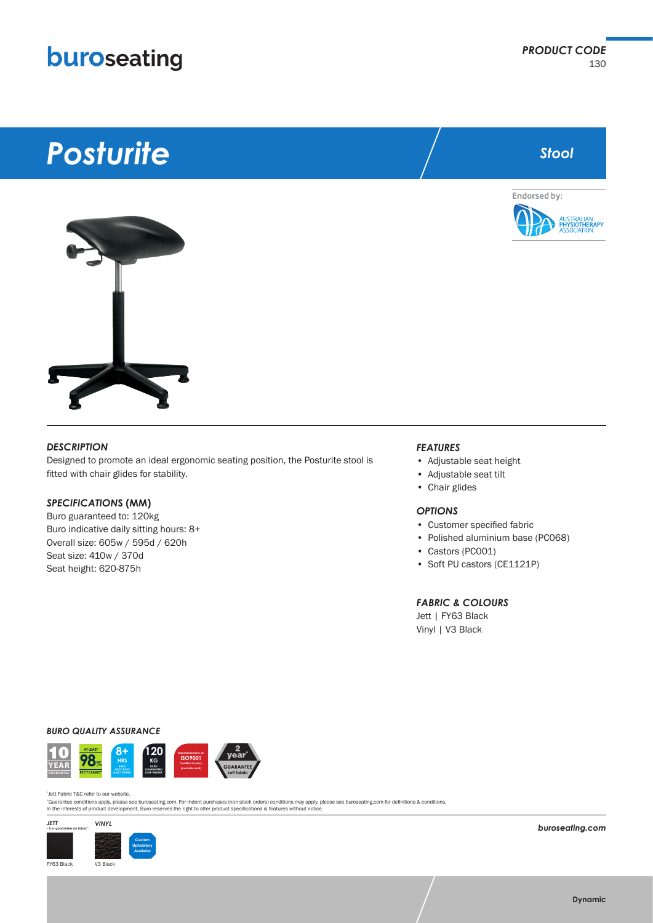## buroseating

# *Posturite*



*Stool*



#### *DESCRIPTION*

Designed to promote an ideal ergonomic seating position, the Posturite stool is fitted with chair glides for stability.

#### *SPECIFICATION***S (MM)**

Buro guaranteed to: 120kg Buro indicative daily sitting hours: 8+ Overall size: 605w / 595d / 620h Seat size: 410w / 370d Seat height: 620-875h

#### *FEATURES*

- Adjustable seat height
- Adjustable seat tilt
- Chair glides

#### *OPTIONS*

- Customer specified fabric
- Polished aluminium base (PC068)
- Castors (PC001)
- Soft PU castors (CE1121P)

#### *FABRIC & COLOURS*

Jett | FY63 Black Vinyl | V3 Black

*BURO QUALITY ASSURANCE*





"Guarantee conditions apply, please see buroseating.com. For Indent purchases (non stock orders) conditions may apply, please see buroseating.com for definitions & conditions.<br>In the interests of product development, Buro



*buroseating.com*